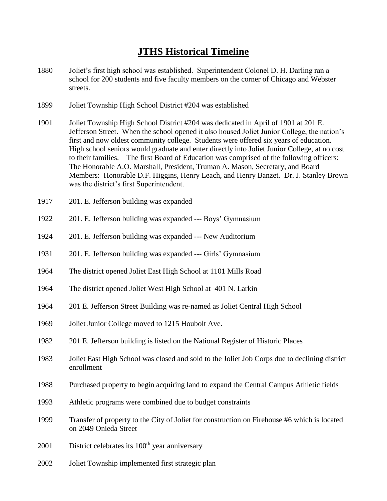## **JTHS Historical Timeline**

- 1880 Joliet's first high school was established. Superintendent Colonel D. H. Darling ran a school for 200 students and five faculty members on the corner of Chicago and Webster streets.
- 1899 Joliet Township High School District #204 was established
- 1901 Joliet Township High School District #204 was dedicated in April of 1901 at 201 E. Jefferson Street. When the school opened it also housed Joliet Junior College, the nation's first and now oldest community college. Students were offered six years of education. High school seniors would graduate and enter directly into Joliet Junior College, at no cost to their families. The first Board of Education was comprised of the following officers: The Honorable A.O. Marshall, President, Truman A. Mason, Secretary, and Board Members: Honorable D.F. Higgins, Henry Leach, and Henry Banzet. Dr. J. Stanley Brown was the district's first Superintendent.
- 1917 201. E. Jefferson building was expanded
- 1922 201. E. Jefferson building was expanded --- Boys' Gymnasium
- 1924 201. E. Jefferson building was expanded --- New Auditorium
- 1931 201. E. Jefferson building was expanded --- Girls' Gymnasium
- 1964 The district opened Joliet East High School at 1101 Mills Road
- 1964 The district opened Joliet West High School at 401 N. Larkin
- 1964 201 E. Jefferson Street Building was re-named as Joliet Central High School
- 1969 Joliet Junior College moved to 1215 Houbolt Ave.
- 1982 201 E. Jefferson building is listed on the National Register of Historic Places
- 1983 Joliet East High School was closed and sold to the Joliet Job Corps due to declining district enrollment
- 1988 Purchased property to begin acquiring land to expand the Central Campus Athletic fields
- 1993 Athletic programs were combined due to budget constraints
- 1999 Transfer of property to the City of Joliet for construction on Firehouse #6 which is located on 2049 Onieda Street
- $2001$  District celebrates its  $100<sup>th</sup>$  year anniversary
- 2002 Joliet Township implemented first strategic plan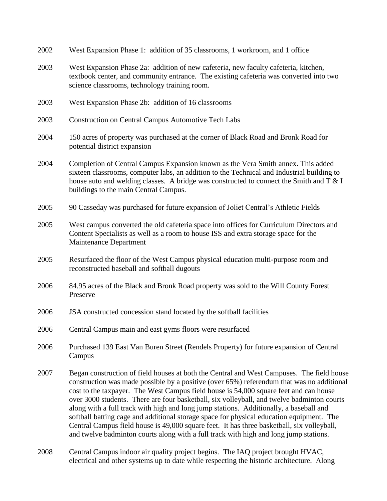- 2002 West Expansion Phase 1: addition of 35 classrooms, 1 workroom, and 1 office
- 2003 West Expansion Phase 2a: addition of new cafeteria, new faculty cafeteria, kitchen, textbook center, and community entrance. The existing cafeteria was converted into two science classrooms, technology training room.
- 2003 West Expansion Phase 2b: addition of 16 classrooms
- 2003 Construction on Central Campus Automotive Tech Labs
- 2004 150 acres of property was purchased at the corner of Black Road and Bronk Road for potential district expansion
- 2004 Completion of Central Campus Expansion known as the Vera Smith annex. This added sixteen classrooms, computer labs, an addition to the Technical and Industrial building to house auto and welding classes. A bridge was constructed to connect the Smith and T & I buildings to the main Central Campus.
- 2005 90 Casseday was purchased for future expansion of Joliet Central's Athletic Fields
- 2005 West campus converted the old cafeteria space into offices for Curriculum Directors and Content Specialists as well as a room to house ISS and extra storage space for the Maintenance Department
- 2005 Resurfaced the floor of the West Campus physical education multi-purpose room and reconstructed baseball and softball dugouts
- 2006 84.95 acres of the Black and Bronk Road property was sold to the Will County Forest Preserve
- 2006 JSA constructed concession stand located by the softball facilities
- 2006 Central Campus main and east gyms floors were resurfaced
- 2006 Purchased 139 East Van Buren Street (Rendels Property) for future expansion of Central Campus
- 2007 Began construction of field houses at both the Central and West Campuses. The field house construction was made possible by a positive (over 65%) referendum that was no additional cost to the taxpayer. The West Campus field house is 54,000 square feet and can house over 3000 students. There are four basketball, six volleyball, and twelve badminton courts along with a full track with high and long jump stations. Additionally, a baseball and softball batting cage and additional storage space for physical education equipment. The Central Campus field house is 49,000 square feet. It has three basketball, six volleyball, and twelve badminton courts along with a full track with high and long jump stations.
- 2008 Central Campus indoor air quality project begins. The IAQ project brought HVAC, electrical and other systems up to date while respecting the historic architecture. Along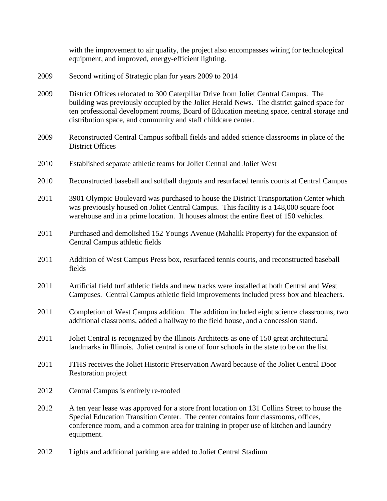with the improvement to air quality, the project also encompasses wiring for technological equipment, and improved, energy-efficient lighting.

- 2009 Second writing of Strategic plan for years 2009 to 2014
- 2009 District Offices relocated to 300 Caterpillar Drive from Joliet Central Campus. The building was previously occupied by the Joliet Herald News. The district gained space for ten professional development rooms, Board of Education meeting space, central storage and distribution space, and community and staff childcare center.
- 2009 Reconstructed Central Campus softball fields and added science classrooms in place of the District Offices
- 2010 Established separate athletic teams for Joliet Central and Joliet West
- 2010 Reconstructed baseball and softball dugouts and resurfaced tennis courts at Central Campus
- 2011 3901 Olympic Boulevard was purchased to house the District Transportation Center which was previously housed on Joliet Central Campus. This facility is a 148,000 square foot warehouse and in a prime location. It houses almost the entire fleet of 150 vehicles.
- 2011 Purchased and demolished 152 Youngs Avenue (Mahalik Property) for the expansion of Central Campus athletic fields
- 2011 Addition of West Campus Press box, resurfaced tennis courts, and reconstructed baseball fields
- 2011 Artificial field turf athletic fields and new tracks were installed at both Central and West Campuses. Central Campus athletic field improvements included press box and bleachers.
- 2011 Completion of West Campus addition. The addition included eight science classrooms, two additional classrooms, added a hallway to the field house, and a concession stand.
- 2011 Joliet Central is recognized by the Illinois Architects as one of 150 great architectural landmarks in Illinois. Joliet central is one of four schools in the state to be on the list.
- 2011 JTHS receives the Joliet Historic Preservation Award because of the Joliet Central Door Restoration project
- 2012 Central Campus is entirely re-roofed
- 2012 A ten year lease was approved for a store front location on 131 Collins Street to house the Special Education Transition Center. The center contains four classrooms, offices, conference room, and a common area for training in proper use of kitchen and laundry equipment.
- 2012 Lights and additional parking are added to Joliet Central Stadium